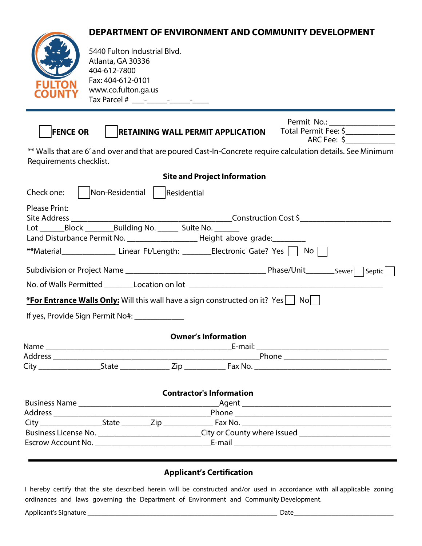## **DEPARTMENT OF ENVIRONMENT AND COMMUNITY DEVELOPMENT**



5440 Fulton Industrial Blvd. Atlanta, GA 30336 404-612-7800 Fax: 404-612-0101 www.co.fulton.ga.us Tax Parcel # \_\_\_-\_\_\_\_\_-\_\_\_\_\_-\_\_\_\_

|                 |                                          | Permit No.:          |  |
|-----------------|------------------------------------------|----------------------|--|
| <b>FENCE OR</b> | <b>RETAINING WALL PERMIT APPLICATION</b> | Total Permit Fee: \$ |  |
|                 |                                          | ARC Fee:             |  |

\*\* Walls that are 6' and over and that are poured Cast-In-Concrete require calculation details. See Minimum Requirements checklist.

| <b>Site and Project Information</b>                                                                |                                                                                                      |                               |  |  |  |  |  |  |
|----------------------------------------------------------------------------------------------------|------------------------------------------------------------------------------------------------------|-------------------------------|--|--|--|--|--|--|
| Check one:                                                                                         |                                                                                                      | Non-Residential   Residential |  |  |  |  |  |  |
| <b>Please Print:</b>                                                                               |                                                                                                      |                               |  |  |  |  |  |  |
|                                                                                                    |                                                                                                      |                               |  |  |  |  |  |  |
|                                                                                                    |                                                                                                      |                               |  |  |  |  |  |  |
| Land Disturbance Permit No. ________________________Height above grade: ________                   |                                                                                                      |                               |  |  |  |  |  |  |
| **Material_______________________Linear Ft/Length: __________Electronic Gate? Yes $\Box$ No $\Box$ |                                                                                                      |                               |  |  |  |  |  |  |
|                                                                                                    |                                                                                                      |                               |  |  |  |  |  |  |
|                                                                                                    |                                                                                                      |                               |  |  |  |  |  |  |
| *For Entrance Walls Only: Will this wall have a sign constructed on it? Yes $\vert$ No $\vert$     |                                                                                                      |                               |  |  |  |  |  |  |
| If yes, Provide Sign Permit No#: _____________                                                     |                                                                                                      |                               |  |  |  |  |  |  |
| <b>Owner's Information</b>                                                                         |                                                                                                      |                               |  |  |  |  |  |  |
|                                                                                                    |                                                                                                      |                               |  |  |  |  |  |  |
|                                                                                                    |                                                                                                      |                               |  |  |  |  |  |  |
|                                                                                                    |                                                                                                      |                               |  |  |  |  |  |  |
| <b>Contractor's Information</b>                                                                    |                                                                                                      |                               |  |  |  |  |  |  |
|                                                                                                    |                                                                                                      |                               |  |  |  |  |  |  |
|                                                                                                    |                                                                                                      |                               |  |  |  |  |  |  |
|                                                                                                    |                                                                                                      |                               |  |  |  |  |  |  |
|                                                                                                    | Business License No. _____________________________City or County where issued ______________________ |                               |  |  |  |  |  |  |
|                                                                                                    |                                                                                                      |                               |  |  |  |  |  |  |

## **Applicant's Certification**

I hereby certify that the site described herein will be constructed and/or used in accordance with all applicable zoning ordinances and laws governing the Department of Environment and Community Development.